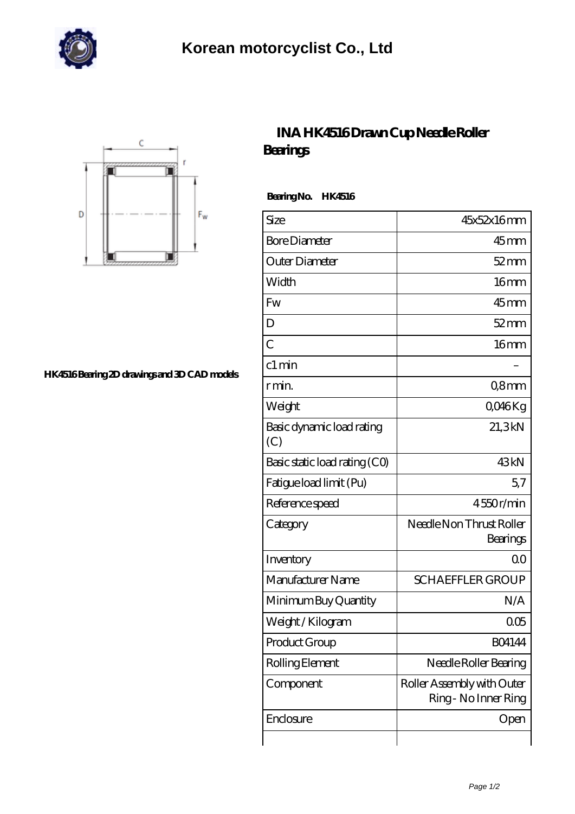



## **[HK4516 Bearing 2D drawings and 3D CAD models](https://johnsparagana.com/pic-310555.html)**

## **[INA HK4516 Drawn Cup Needle Roller](https://johnsparagana.com/at-310555-ina-hk4516-drawn-cup-needle-roller-bearings.html) [Bearings](https://johnsparagana.com/at-310555-ina-hk4516-drawn-cup-needle-roller-bearings.html)**

 **Bearing No. HK4516**

| Size                             | 45x52x16mm                                         |
|----------------------------------|----------------------------------------------------|
| <b>Bore Diameter</b>             | $45$ mm                                            |
| Outer Diameter                   | $52$ mm                                            |
| Width                            | 16mm                                               |
| Fw                               | $45$ mm                                            |
| D                                | $52$ mm                                            |
| $\overline{C}$                   | 16mm                                               |
| c1 min                           |                                                    |
| r min.                           | Q8mm                                               |
| Weight                           | QO46Kg                                             |
| Basic dynamic load rating<br>(C) | 21,3kN                                             |
| Basic static load rating (CO)    | 43 <sub>kN</sub>                                   |
| Fatigue load limit (Pu)          | 57                                                 |
| Reference speed                  | 4550r/min                                          |
| Category                         | Needle Non Thrust Roller<br>Bearings               |
| Inventory                        | 00                                                 |
| Manufacturer Name                | <b>SCHAEFFLER GROUP</b>                            |
| Minimum Buy Quantity             | N/A                                                |
| Weight / Kilogram                | 005                                                |
| Product Group                    | <b>BO4144</b>                                      |
| Rolling Element                  | Needle Roller Bearing                              |
| Component                        | Roller Assembly with Outer<br>Ring - No Inner Ring |
| Enclosure                        | Open                                               |
|                                  |                                                    |